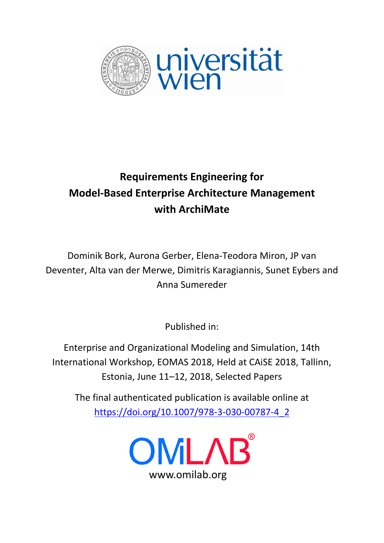

# **Requirements Engineering for Model-Based Enterprise Architecture Management with ArchiMate**

Dominik Bork, Aurona Gerber, Elena-Teodora Miron, JP van Deventer, Alta van der Merwe, Dimitris Karagiannis, Sunet Eybers and Anna Sumereder

Published in:

Enterprise and Organizational Modeling and Simulation, 14th International Workshop, EOMAS 2018, Held at CAiSE 2018, Tallinn, Estonia, June 11–12, 2018, Selected Papers

The final authenticated publication is available online at [https://doi.org/10.1007/978-3-030-00787-4\\_2](https://doi.org/10.1007/978-3-030-00787-4_2)

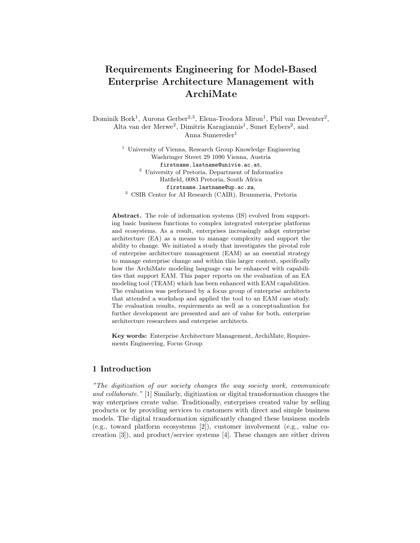# Requirements Engineering for Model-Based Enterprise Architecture Management with ArchiMate

Dominik Bork<sup>1</sup>, Aurona Gerber<sup>2,3</sup>, Elena-Teodora Miron<sup>1</sup>, Phil van Deventer<sup>2</sup>, Alta van der Merwe<sup>2</sup>, Dimitris Karagiannis<sup>1</sup>, Sunet Eybers<sup>2</sup>, and Anna Sumereder<sup>1</sup>

> <sup>1</sup> University of Vienna, Research Group Knowledge Engineering Waehringer Street 29 1090 Vienna, Austria firstname.lastname@univie.ac.at, <sup>2</sup> University of Pretoria, Department of Informatics Hatfield, 0083 Pretoria, South Africa firstname.lastname@up.ac.za, <sup>3</sup> CSIR Center for AI Research (CAIR), Brummeria, Pretoria

Abstract. The role of information systems (IS) evolved from supporting basic business functions to complex integrated enterprise platforms and ecosystems. As a result, enterprises increasingly adopt enterprise architecture (EA) as a means to manage complexity and support the ability to change. We initiated a study that investigates the pivotal role of enterprise architecture management (EAM) as an essential strategy to manage enterprise change and within this larger context, specifically how the ArchiMate modeling language can be enhanced with capabilities that support EAM. This paper reports on the evaluation of an EA modeling tool (TEAM) which has been enhanced with EAM capabilities. The evaluation was performed by a focus group of enterprise architects that attended a workshop and applied the tool to an EAM case study. The evaluation results, requirements as well as a conceptualization for further development are presented and are of value for both, enterprise architecture researchers and enterprise architects.

Key words: Enterprise Architecture Management, ArchiMate, Requirements Engineering, Focus Group

## 1 Introduction

"The digitization of our society changes the way society work, communicate and collaborate." [1] Similarly, digitization or digital transformation changes the way enterprises create value. Traditionally, enterprises created value by selling products or by providing services to customers with direct and simple business models. The digital transformation significantly changed these business models (e.g., toward platform ecosystems [2]), customer involvement (e.g., value cocreation [3]), and product/service systems [4]. These changes are either driven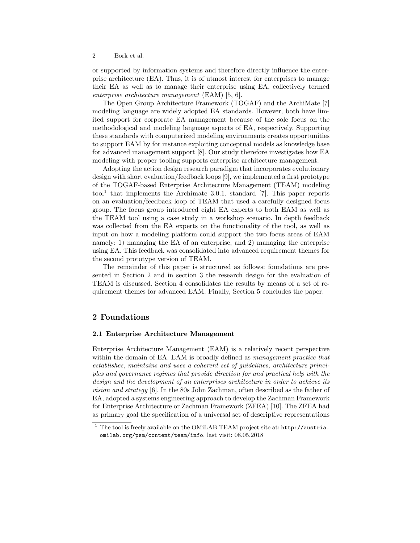or supported by information systems and therefore directly influence the enterprise architecture (EA). Thus, it is of utmost interest for enterprises to manage their EA as well as to manage their enterprise using EA, collectively termed enterprise architecture management (EAM) [5, 6].

The Open Group Architecture Framework (TOGAF) and the ArchiMate [7] modeling language are widely adopted EA standards. However, both have limited support for corporate EA management because of the sole focus on the methodological and modeling language aspects of EA, respectively. Supporting these standards with computerized modeling environments creates opportunities to support EAM by for instance exploiting conceptual models as knowledge base for advanced management support [8]. Our study therefore investigates how EA modeling with proper tooling supports enterprise architecture management.

Adopting the action design research paradigm that incorporates evolutionary design with short evaluation/feedback loops [9], we implemented a first prototype of the TOGAF-based Enterprise Architecture Management (TEAM) modeling  $\text{tool}^1$  that implements the Archimate 3.0.1. standard [7]. This paper reports on an evaluation/feedback loop of TEAM that used a carefully designed focus group. The focus group introduced eight EA experts to both EAM as well as the TEAM tool using a case study in a workshop scenario. In depth feedback was collected from the EA experts on the functionality of the tool, as well as input on how a modeling platform could support the two focus areas of EAM namely: 1) managing the EA of an enterprise, and 2) managing the enterprise using EA. This feedback was consolidated into advanced requirement themes for the second prototype version of TEAM.

The remainder of this paper is structured as follows: foundations are presented in Section 2 and in section 3 the research design for the evaluation of TEAM is discussed. Section 4 consolidates the results by means of a set of requirement themes for advanced EAM. Finally, Section 5 concludes the paper.

# 2 Foundations

#### 2.1 Enterprise Architecture Management

Enterprise Architecture Management (EAM) is a relatively recent perspective within the domain of EA. EAM is broadly defined as management practice that establishes, maintains and uses a coherent set of guidelines, architecture principles and governance regimes that provide direction for and practical help with the design and the development of an enterprises architecture in order to achieve its vision and strategy [6]. In the 80s John Zachman, often described as the father of EA, adopted a systems engineering approach to develop the Zachman Framework for Enterprise Architecture or Zachman Framework (ZFEA) [10]. The ZFEA had as primary goal the specification of a universal set of descriptive representations

 $1$  The tool is freely available on the OMiLAB TEAM project site at:  $http://austria.$ omilab.org/psm/content/team/info, last visit: 08.05.2018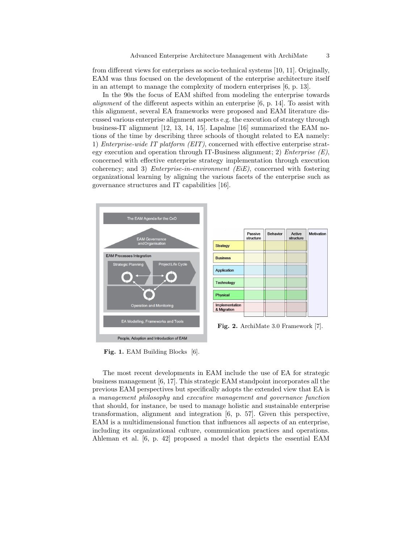from different views for enterprises as socio-technical systems [10, 11]. Originally, EAM was thus focused on the development of the enterprise architecture itself in an attempt to manage the complexity of modern enterprises [6, p. 13].

In the 90s the focus of EAM shifted from modeling the enterprise towards *alignment* of the different aspects within an enterprise  $[6, p. 14]$ . To assist with this alignment, several EA frameworks were proposed and EAM literature discussed various enterprise alignment aspects e.g. the execution of strategy through business-IT alignment [12, 13, 14, 15]. Lapalme [16] summarized the EAM notions of the time by describing three schools of thought related to EA namely: 1) Enterprise-wide IT platform (EIT), concerned with effective enterprise strategy execution and operation through IT-Business alignment; 2) *Enterprise*  $(E)$ , concerned with effective enterprise strategy implementation through execution coherency; and 3) Enterprise-in-environment (EiE), concerned with fostering organizational learning by aligning the various facets of the enterprise such as governance structures and IT capabilities [16].





Fig. 2. ArchiMate 3.0 Framework [7].

Fig. 1. EAM Building Blocks [6].

The most recent developments in EAM include the use of EA for strategic business management [6, 17]. This strategic EAM standpoint incorporates all the previous EAM perspectives but specifically adopts the extended view that EA is a management philosophy and executive management and governance function that should, for instance, be used to manage holistic and sustainable enterprise transformation, alignment and integration [6, p. 57]. Given this perspective, EAM is a multidimensional function that influences all aspects of an enterprise, including its organizational culture, communication practices and operations. Ahleman et al. [6, p. 42] proposed a model that depicts the essential EAM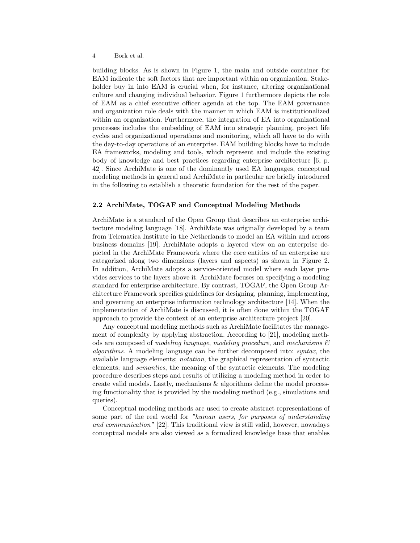building blocks. As is shown in Figure 1, the main and outside container for EAM indicate the soft factors that are important within an organization. Stakeholder buy in into EAM is crucial when, for instance, altering organizational culture and changing individual behavior. Figure 1 furthermore depicts the role of EAM as a chief executive officer agenda at the top. The EAM governance and organization role deals with the manner in which EAM is institutionalized within an organization. Furthermore, the integration of EA into organizational processes includes the embedding of EAM into strategic planning, project life cycles and organizational operations and monitoring, which all have to do with the day-to-day operations of an enterprise. EAM building blocks have to include EA frameworks, modeling and tools, which represent and include the existing body of knowledge and best practices regarding enterprise architecture  $\ket{6}$ , p. 42]. Since ArchiMate is one of the dominantly used EA languages, conceptual modeling methods in general and ArchiMate in particular are briefly introduced in the following to establish a theoretic foundation for the rest of the paper.

#### 2.2 ArchiMate, TOGAF and Conceptual Modeling Methods

ArchiMate is a standard of the Open Group that describes an enterprise architecture modeling language [18]. ArchiMate was originally developed by a team from Telematica Institute in the Netherlands to model an EA within and across business domains [19]. ArchiMate adopts a layered view on an enterprise depicted in the ArchiMate Framework where the core entities of an enterprise are categorized along two dimensions (layers and aspects) as shown in Figure 2. In addition, ArchiMate adopts a service-oriented model where each layer provides services to the layers above it. ArchiMate focuses on specifying a modeling standard for enterprise architecture. By contrast, TOGAF, the Open Group Architecture Framework specifies guidelines for designing, planning, implementing, and governing an enterprise information technology architecture [14]. When the implementation of ArchiMate is discussed, it is often done within the TOGAF approach to provide the context of an enterprise architecture project [20].

Any conceptual modeling methods such as ArchiMate facilitates the management of complexity by applying abstraction. According to [21], modeling methods are composed of modeling language, modeling procedure, and mechanisms & algorithms. A modeling language can be further decomposed into: syntax, the available language elements; notation, the graphical representation of syntactic elements; and semantics, the meaning of the syntactic elements. The modeling procedure describes steps and results of utilizing a modeling method in order to create valid models. Lastly, mechanisms & algorithms define the model processing functionality that is provided by the modeling method (e.g., simulations and queries).

Conceptual modeling methods are used to create abstract representations of some part of the real world for "human users, for purposes of understanding and communication" [22]. This traditional view is still valid, however, nowadays conceptual models are also viewed as a formalized knowledge base that enables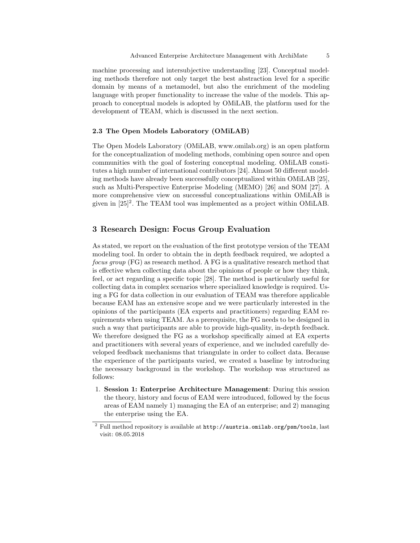machine processing and intersubjective understanding [23]. Conceptual modeling methods therefore not only target the best abstraction level for a specific domain by means of a metamodel, but also the enrichment of the modeling language with proper functionality to increase the value of the models. This approach to conceptual models is adopted by OMiLAB, the platform used for the development of TEAM, which is discussed in the next section.

#### 2.3 The Open Models Laboratory (OMiLAB)

The Open Models Laboratory (OMiLAB, www.omilab.org) is an open platform for the conceptualization of modeling methods, combining open source and open communities with the goal of fostering conceptual modeling. OMiLAB constitutes a high number of international contributors [24]. Almost 50 different modeling methods have already been successfully conceptualized within OMiLAB [25], such as Multi-Perspective Enterprise Modeling (MEMO) [26] and SOM [27]. A more comprehensive view on successful conceptualizations within OMiLAB is given in  $[25]^2$ . The TEAM tool was implemented as a project within OMiLAB.

# 3 Research Design: Focus Group Evaluation

As stated, we report on the evaluation of the first prototype version of the TEAM modeling tool. In order to obtain the in depth feedback required, we adopted a focus group (FG) as research method. A FG is a qualitative research method that is effective when collecting data about the opinions of people or how they think, feel, or act regarding a specific topic [28]. The method is particularly useful for collecting data in complex scenarios where specialized knowledge is required. Using a FG for data collection in our evaluation of TEAM was therefore applicable because EAM has an extensive scope and we were particularly interested in the opinions of the participants (EA experts and practitioners) regarding EAM requirements when using TEAM. As a prerequisite, the FG needs to be designed in such a way that participants are able to provide high-quality, in-depth feedback. We therefore designed the FG as a workshop specifically aimed at EA experts and practitioners with several years of experience, and we included carefully developed feedback mechanisms that triangulate in order to collect data. Because the experience of the participants varied, we created a baseline by introducing the necessary background in the workshop. The workshop was structured as follows:

1. Session 1: Enterprise Architecture Management: During this session the theory, history and focus of EAM were introduced, followed by the focus areas of EAM namely 1) managing the EA of an enterprise; and 2) managing the enterprise using the EA.

 $^2$  Full method repository is available at  ${\tt http://austria.omilab.org/psm/tools}$  , last visit: 08.05.2018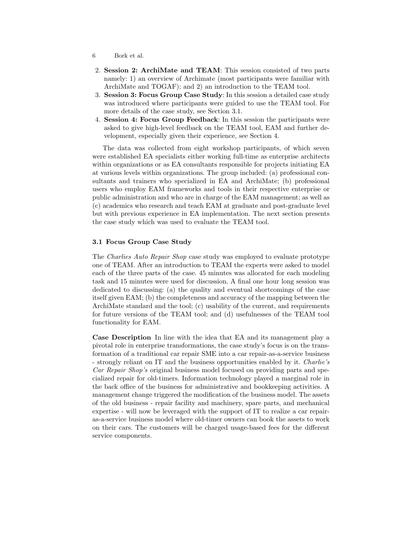- 6 Bork et al.
- 2. Session 2: ArchiMate and TEAM: This session consisted of two parts namely: 1) an overview of Archimate (most participants were familiar with ArchiMate and TOGAF); and 2) an introduction to the TEAM tool.
- 3. Session 3: Focus Group Case Study: In this session a detailed case study was introduced where participants were guided to use the TEAM tool. For more details of the case study, see Section 3.1.
- 4. Session 4: Focus Group Feedback: In this session the participants were asked to give high-level feedback on the TEAM tool, EAM and further development, especially given their experience, see Section 4.

The data was collected from eight workshop participants, of which seven were established EA specialists either working full-time as enterprise architects within organizations or as EA consultants responsible for projects initiating EA at various levels within organizations. The group included: (a) professional consultants and trainers who specialized in EA and ArchiMate; (b) professional users who employ EAM frameworks and tools in their respective enterprise or public administration and who are in charge of the EAM management; as well as (c) academics who research and teach EAM at graduate and post-graduate level but with previous experience in EA implementation. The next section presents the case study which was used to evaluate the TEAM tool.

#### 3.1 Focus Group Case Study

The Charlies Auto Repair Shop case study was employed to evaluate prototype one of TEAM. After an introduction to TEAM the experts were asked to model each of the three parts of the case. 45 minutes was allocated for each modeling task and 15 minutes were used for discussion. A final one hour long session was dedicated to discussing: (a) the quality and eventual shortcomings of the case itself given EAM; (b) the completeness and accuracy of the mapping between the ArchiMate standard and the tool; (c) usability of the current, and requirements for future versions of the TEAM tool; and (d) usefulnesses of the TEAM tool functionality for EAM.

Case Description In line with the idea that EA and its management play a pivotal role in enterprise transformations, the case study's focus is on the transformation of a traditional car repair SME into a car repair-as-a-service business - strongly reliant on IT and the business opportunities enabled by it. *Charlie's* Car Repair Shop's original business model focused on providing parts and specialized repair for old-timers. Information technology played a marginal role in the back office of the business for administrative and bookkeeping activities. A management change triggered the modification of the business model. The assets of the old business - repair facility and machinery, spare parts, and mechanical expertise - will now be leveraged with the support of IT to realize a car repairas-a-service business model where old-timer owners can book the assets to work on their cars. The customers will be charged usage-based fees for the different service components.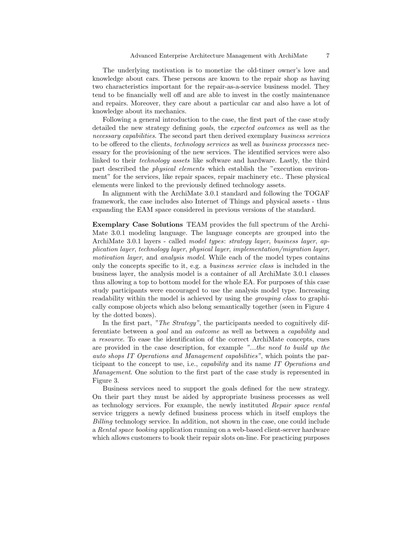The underlying motivation is to monetize the old-timer owner's love and knowledge about cars. These persons are known to the repair shop as having two characteristics important for the repair-as-a-service business model. They tend to be financially well off and are able to invest in the costly maintenance and repairs. Moreover, they care about a particular car and also have a lot of knowledge about its mechanics.

Following a general introduction to the case, the first part of the case study detailed the new strategy defining goals, the expected outcomes as well as the necessary capabilities. The second part then derived exemplary business services to be offered to the clients, technology services as well as business processes necessary for the provisioning of the new services. The identified services were also linked to their technology assets like software and hardware. Lastly, the third part described the physical elements which establish the "execution environment" for the services, like repair spaces, repair machinery etc.. These physical elements were linked to the previously defined technology assets.

In alignment with the ArchiMate 3.0.1 standard and following the TOGAF framework, the case includes also Internet of Things and physical assets - thus expanding the EAM space considered in previous versions of the standard.

Exemplary Case Solutions TEAM provides the full spectrum of the Archi-Mate 3.0.1 modeling language. The language concepts are grouped into the ArchiMate 3.0.1 layers - called model types: strategy layer, business layer, application layer, technology layer, physical layer, implementation/migration layer, motivation layer, and analysis model. While each of the model types contains only the concepts specific to it, e.g. a business service class is included in the business layer, the analysis model is a container of all ArchiMate 3.0.1 classes thus allowing a top to bottom model for the whole EA. For purposes of this case study participants were encouraged to use the analysis model type. Increasing readability within the model is achieved by using the grouping class to graphically compose objects which also belong semantically together (seen in Figure 4 by the dotted boxes).

In the first part, "The Strategy", the participants needed to cognitively differentiate between a goal and an outcome as well as between a capability and a resource. To ease the identification of the correct ArchiMate concepts, cues are provided in the case description, for example "...the need to build up the auto shops IT Operations and Management capabilities", which points the participant to the concept to use, i.e., capability and its name IT Operations and Management. One solution to the first part of the case study is represented in Figure 3.

Business services need to support the goals defined for the new strategy. On their part they must be aided by appropriate business processes as well as technology services. For example, the newly instituted Repair space rental service triggers a newly defined business process which in itself employs the Billing technology service. In addition, not shown in the case, one could include a Rental space booking application running on a web-based client-server hardware which allows customers to book their repair slots on-line. For practicing purposes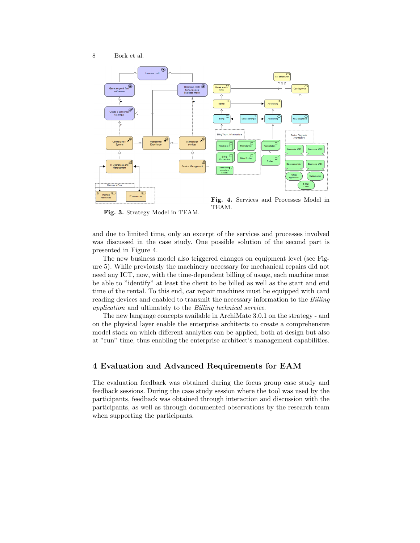

Fig. 3. Strategy Model in TEAM.

Fig. 4. Services and Processes Model in TEAM.

and due to limited time, only an excerpt of the services and processes involved was discussed in the case study. One possible solution of the second part is presented in Figure 4.

The new business model also triggered changes on equipment level (see Figure 5). While previously the machinery necessary for mechanical repairs did not need any ICT, now, with the time-dependent billing of usage, each machine must be able to "identify" at least the client to be billed as well as the start and end time of the rental. To this end, car repair machines must be equipped with card reading devices and enabled to transmit the necessary information to the Billing application and ultimately to the Billing technical service.

The new language concepts available in ArchiMate 3.0.1 on the strategy - and on the physical layer enable the enterprise architects to create a comprehensive model stack on which different analytics can be applied, both at design but also at "run" time, thus enabling the enterprise architect's management capabilities.

# 4 Evaluation and Advanced Requirements for EAM

The evaluation feedback was obtained during the focus group case study and feedback sessions. During the case study session where the tool was used by the participants, feedback was obtained through interaction and discussion with the participants, as well as through documented observations by the research team when supporting the participants.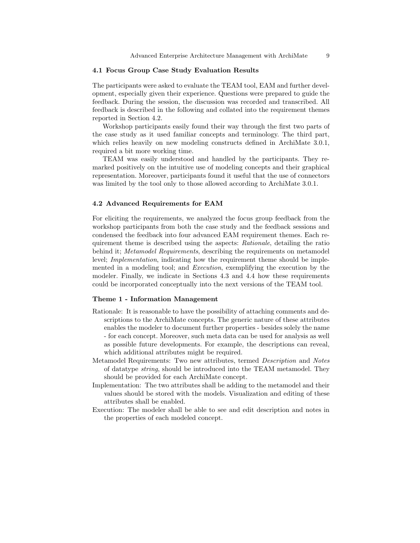#### 4.1 Focus Group Case Study Evaluation Results

The participants were asked to evaluate the TEAM tool, EAM and further development, especially given their experience. Questions were prepared to guide the feedback. During the session, the discussion was recorded and transcribed. All feedback is described in the following and collated into the requirement themes reported in Section 4.2.

Workshop participants easily found their way through the first two parts of the case study as it used familiar concepts and terminology. The third part, which relies heavily on new modeling constructs defined in ArchiMate 3.0.1, required a bit more working time.

TEAM was easily understood and handled by the participants. They remarked positively on the intuitive use of modeling concepts and their graphical representation. Moreover, participants found it useful that the use of connectors was limited by the tool only to those allowed according to ArchiMate 3.0.1.

#### 4.2 Advanced Requirements for EAM

For eliciting the requirements, we analyzed the focus group feedback from the workshop participants from both the case study and the feedback sessions and condensed the feedback into four advanced EAM requirement themes. Each requirement theme is described using the aspects: Rationale, detailing the ratio behind it; Metamodel Requirements, describing the requirements on metamodel level; Implementation, indicating how the requirement theme should be implemented in a modeling tool; and *Execution*, exemplifying the execution by the modeler. Finally, we indicate in Sections 4.3 and 4.4 how these requirements could be incorporated conceptually into the next versions of the TEAM tool.

#### Theme 1 - Information Management

- Rationale: It is reasonable to have the possibility of attaching comments and descriptions to the ArchiMate concepts. The generic nature of these attributes enables the modeler to document further properties - besides solely the name - for each concept. Moreover, such meta data can be used for analysis as well as possible future developments. For example, the descriptions can reveal, which additional attributes might be required.
- Metamodel Requirements: Two new attributes, termed Description and Notes of datatype string, should be introduced into the TEAM metamodel. They should be provided for each ArchiMate concept.
- Implementation: The two attributes shall be adding to the metamodel and their values should be stored with the models. Visualization and editing of these attributes shall be enabled.
- Execution: The modeler shall be able to see and edit description and notes in the properties of each modeled concept.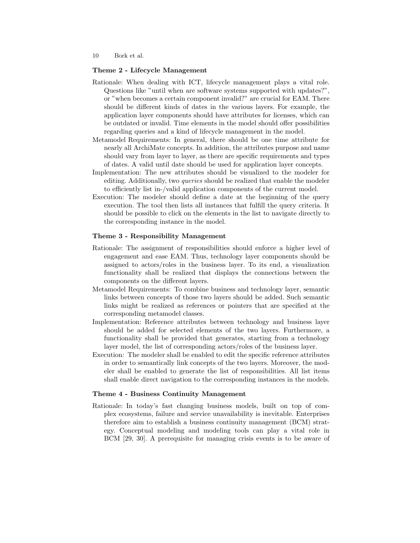#### Theme 2 - Lifecycle Management

- Rationale: When dealing with ICT, lifecycle management plays a vital role. Questions like "until when are software systems supported with updates?", or "when becomes a certain component invalid?" are crucial for EAM. There should be different kinds of dates in the various layers. For example, the application layer components should have attributes for licenses, which can be outdated or invalid. Time elements in the model should offer possibilities regarding queries and a kind of lifecycle management in the model.
- Metamodel Requirements: In general, there should be one time attribute for nearly all ArchiMate concepts. In addition, the attributes purpose and name should vary from layer to layer, as there are specific requirements and types of dates. A valid until date should be used for application layer concepts.
- Implementation: The new attributes should be visualized to the modeler for editing. Additionally, two queries should be realized that enable the modeler to efficiently list in-/valid application components of the current model.
- Execution: The modeler should define a date at the beginning of the query execution. The tool then lists all instances that fulfill the query criteria. It should be possible to click on the elements in the list to navigate directly to the corresponding instance in the model.

#### Theme 3 - Responsibility Management

- Rationale: The assignment of responsibilities should enforce a higher level of engagement and ease EAM. Thus, technology layer components should be assigned to actors/roles in the business layer. To its end, a visualization functionality shall be realized that displays the connections between the components on the different layers.
- Metamodel Requirements: To combine business and technology layer, semantic links between concepts of those two layers should be added. Such semantic links might be realized as references or pointers that are specified at the corresponding metamodel classes.
- Implementation: Reference attributes between technology and business layer should be added for selected elements of the two layers. Furthermore, a functionality shall be provided that generates, starting from a technology layer model, the list of corresponding actors/roles of the business layer.
- Execution: The modeler shall be enabled to edit the specific reference attributes in order to semantically link concepts of the two layers. Moreover, the modeler shall be enabled to generate the list of responsibilities. All list items shall enable direct navigation to the corresponding instances in the models.

#### Theme 4 - Business Continuity Management

Rationale: In today's fast changing business models, built on top of complex ecosystems, failure and service unavailability is inevitable. Enterprises therefore aim to establish a business continuity management (BCM) strategy. Conceptual modeling and modeling tools can play a vital role in BCM [29, 30]. A prerequisite for managing crisis events is to be aware of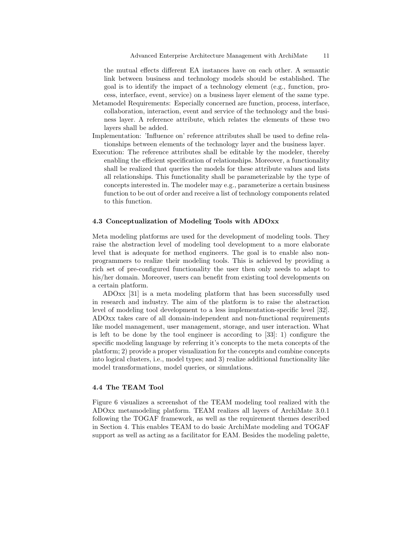the mutual effects different EA instances have on each other. A semantic link between business and technology models should be established. The goal is to identify the impact of a technology element (e.g., function, process, interface, event, service) on a business layer element of the same type.

- Metamodel Requirements: Especially concerned are function, process, interface, collaboration, interaction, event and service of the technology and the business layer. A reference attribute, which relates the elements of these two layers shall be added.
- Implementation: 'Influence on' reference attributes shall be used to define relationships between elements of the technology layer and the business layer.
- Execution: The reference attributes shall be editable by the modeler, thereby enabling the efficient specification of relationships. Moreover, a functionality shall be realized that queries the models for these attribute values and lists all relationships. This functionality shall be parameterizable by the type of concepts interested in. The modeler may e.g., parameterize a certain business function to be out of order and receive a list of technology components related to this function.

#### 4.3 Conceptualization of Modeling Tools with ADOxx

Meta modeling platforms are used for the development of modeling tools. They raise the abstraction level of modeling tool development to a more elaborate level that is adequate for method engineers. The goal is to enable also nonprogrammers to realize their modeling tools. This is achieved by providing a rich set of pre-configured functionality the user then only needs to adapt to his/her domain. Moreover, users can benefit from existing tool developments on a certain platform.

ADOxx [31] is a meta modeling platform that has been successfully used in research and industry. The aim of the platform is to raise the abstraction level of modeling tool development to a less implementation-specific level [32]. ADOxx takes care of all domain-independent and non-functional requirements like model management, user management, storage, and user interaction. What is left to be done by the tool engineer is according to [33]: 1) configure the specific modeling language by referring it's concepts to the meta concepts of the platform; 2) provide a proper visualization for the concepts and combine concepts into logical clusters, i.e., model types; and 3) realize additional functionality like model transformations, model queries, or simulations.

#### 4.4 The TEAM Tool

Figure 6 visualizes a screenshot of the TEAM modeling tool realized with the ADOxx metamodeling platform. TEAM realizes all layers of ArchiMate 3.0.1 following the TOGAF framework, as well as the requirement themes described in Section 4. This enables TEAM to do basic ArchiMate modeling and TOGAF support as well as acting as a facilitator for EAM. Besides the modeling palette,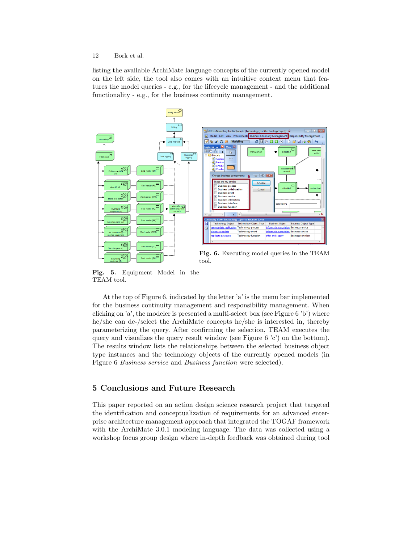listing the available ArchiMate language concepts of the currently opened model on the left side, the tool also comes with an intuitive context menu that features the model queries - e.g., for the lifecycle management - and the additional functionality - e.g., for the business continuity management.



Fig. 5. Equipment Model in the TEAM tool.

At the top of Figure 6, indicated by the letter 'a' is the menu bar implemented for the business continuity management and responsibility management. When clicking on 'a', the modeler is presented a multi-select box (see Figure 6 'b') where he/she can de-/select the ArchiMate concepts he/she is interested in, thereby parameterizing the query. After confirming the selection, TEAM executes the query and visualizes the query result window (see Figure  $6 \degree c$ ) on the bottom). The results window lists the relationships between the selected business object type instances and the technology objects of the currently opened models (in Figure 6 Business service and Business function were selected).

# 5 Conclusions and Future Research

This paper reported on an action design science research project that targeted the identification and conceptualization of requirements for an advanced enterprise architecture management approach that integrated the TOGAF framework with the ArchiMate 3.0.1 modeling language. The data was collected using a workshop focus group design where in-depth feedback was obtained during tool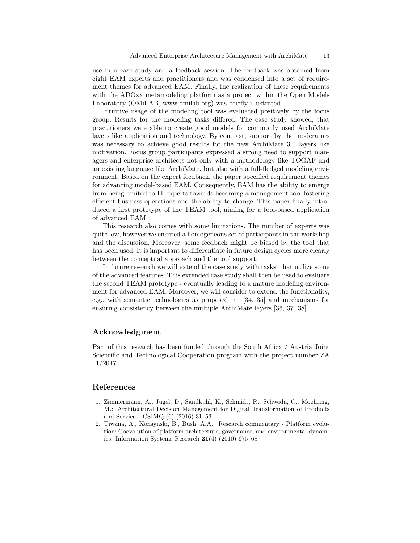use in a case study and a feedback session. The feedback was obtained from eight EAM experts and practitioners and was condensed into a set of requirement themes for advanced EAM. Finally, the realization of these requirements with the ADOxx metamodeling platform as a project within the Open Models Laboratory (OMiLAB, www.omilab.org) was briefly illustrated.

Intuitive usage of the modeling tool was evaluated positively by the focus group. Results for the modeling tasks differed. The case study showed, that practitioners were able to create good models for commonly used ArchiMate layers like application and technology. By contrast, support by the moderators was necessary to achieve good results for the new ArchiMate 3.0 layers like motivation. Focus group participants expressed a strong need to support managers and enterprise architects not only with a methodology like TOGAF and an existing language like ArchiMate, but also with a full-fledged modeling environment. Based on the expert feedback, the paper specified requirement themes for advancing model-based EAM. Consequently, EAM has the ability to emerge from being limited to IT experts towards becoming a management tool fostering efficient business operations and the ability to change. This paper finally introduced a first prototype of the TEAM tool, aiming for a tool-based application of advanced EAM.

This research also comes with some limitations. The number of experts was quite low, however we ensured a homogeneous set of participants in the workshop and the discussion. Moreover, some feedback might be biased by the tool that has been used. It is important to differentiate in future design cycles more clearly between the conceptual approach and the tool support.

In future research we will extend the case study with tasks, that utilize some of the advanced features. This extended case study shall then be used to evaluate the second TEAM prototype - eventually leading to a mature modeling environment for advanced EAM. Moreover, we will consider to extend the functionality, e.g., with semantic technologies as proposed in [34, 35] and mechanisms for ensuring consistency between the multiple ArchiMate layers [36, 37, 38].

### Acknowledgment

Part of this research has been funded through the South Africa / Austria Joint Scientific and Technological Cooperation program with the project number ZA 11/2017.

#### References

- 1. Zimmermann, A., Jugel, D., Sandkuhl, K., Schmidt, R., Schweda, C., Moehring, M.: Architectural Decision Management for Digital Transformation of Products and Services. CSIMQ (6) (2016) 31–53
- 2. Tiwana, A., Konsynski, B., Bush, A.A.: Research commentary Platform evolution: Coevolution of platform architecture, governance, and environmental dynamics. Information Systems Research 21(4) (2010) 675–687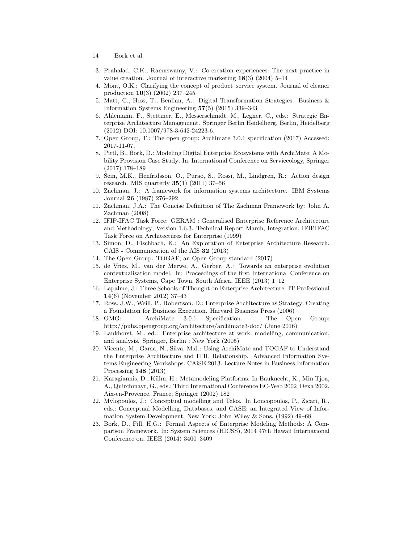- 14 Bork et al.
- 3. Prahalad, C.K., Ramaswamy, V.: Co-creation experiences: The next practice in value creation. Journal of interactive marketing 18(3) (2004) 5–14
- 4. Mont, O.K.: Clarifying the concept of product–service system. Journal of cleaner production 10(3) (2002) 237–245
- 5. Matt, C., Hess, T., Benlian, A.: Digital Transformation Strategies. Business & Information Systems Engineering 57(5) (2015) 339–343
- 6. Ahlemann, F., Stettiner, E., Messerschmidt, M., Legner, C., eds.: Strategic Enterprise Architecture Management. Springer Berlin Heidelberg, Berlin, Heidelberg (2012) DOI: 10.1007/978-3-642-24223-6.
- 7. Open Group, T.: The open group: Archimate 3.0.1 specification (2017) Accessed: 2017-11-07.
- 8. Pittl, B., Bork, D.: Modeling Digital Enterprise Ecosystems with ArchiMate: A Mobility Provision Case Study. In: International Conference on Serviceology, Springer (2017) 178–189
- 9. Sein, M.K., Henfridsson, O., Purao, S., Rossi, M., Lindgren, R.: Action design research. MIS quarterly  $35(1)$  (2011) 37–56
- 10. Zachman, J.: A framework for information systems architecture. IBM Systems Journal 26 (1987) 276–292
- 11. Zachman, J.A.: The Concise Definition of The Zachman Framework by: John A. Zachman (2008)
- 12. IFIP-IFAC Task Force: GERAM : Generalised Enterprise Reference Architecture and Methodology, Version 1.6.3. Technical Report March, Integration, IFIPIFAC Task Force on Architectures for Enterprise (1999)
- 13. Simon, D., Fischbach, K.: An Exploration of Enterprise Architecture Research. CAIS - Communication of the AIS 32 (2013)
- 14. The Open Group: TOGAF, an Open Group standard (2017)
- 15. de Vries, M., van der Merwe, A., Gerber, A.: Towards an enterprise evolution contextualisation model. In: Proceedings of the first International Conference on Enterprise Systems, Cape Town, South Africa, IEEE (2013) 1–12
- 16. Lapalme, J.: Three Schools of Thought on Enterprise Architecture. IT Professional 14(6) (November 2012) 37–43
- 17. Ross, J.W., Weill, P., Robertson, D.: Enterprise Architecture as Strategy: Creating a Foundation for Business Execution. Harvard Business Press (2006)
- 18. OMG: ArchiMate 3.0.1 Specification. The Open Group: http://pubs.opengroup.org/architecture/archimate3-doc/ (June 2016)
- 19. Lankhorst, M., ed.: Enterprise architecture at work: modelling, communication, and analysis. Springer, Berlin ; New York (2005)
- 20. Vicente, M., Gama, N., Silva, M.d.: Using ArchiMate and TOGAF to Understand the Enterprise Architecture and ITIL Relationship. Advanced Information Systems Engineering Workshops. CAiSE 2013. Lecture Notes in Business Information Processing 148 (2013)
- 21. Karagiannis, D., K¨uhn, H.: Metamodeling Platforms. In Bauknecht, K., Min Tjoa, A., Quirchmayr, G., eds.: Third International Conference EC-Web 2002 Dexa 2002, Aix-en-Provence, France, Springer (2002) 182
- 22. Mylopoulos, J.: Conceptual modelling and Telos. In Loucopoulos, P., Zicari, R., eds.: Conceptual Modelling, Databases, and CASE: an Integrated View of Information System Development, New York: John Wiley & Sons. (1992) 49–68
- 23. Bork, D., Fill, H.G.: Formal Aspects of Enterprise Modeling Methods: A Comparison Framework. In: System Sciences (HICSS), 2014 47th Hawaii International Conference on, IEEE (2014) 3400–3409